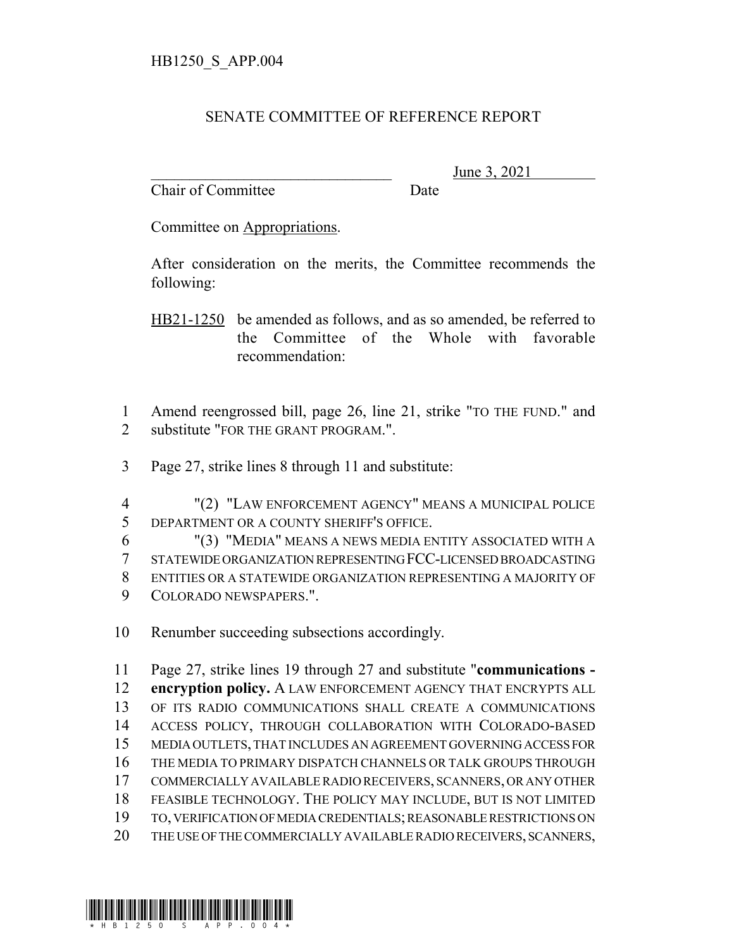## SENATE COMMITTEE OF REFERENCE REPORT

Chair of Committee Date

June 3, 2021

Committee on Appropriations.

After consideration on the merits, the Committee recommends the following:

HB21-1250 be amended as follows, and as so amended, be referred to the Committee of the Whole with favorable recommendation:

 Amend reengrossed bill, page 26, line 21, strike "TO THE FUND." and 2 substitute "FOR THE GRANT PROGRAM.".

Page 27, strike lines 8 through 11 and substitute:

 "(2) "LAW ENFORCEMENT AGENCY" MEANS A MUNICIPAL POLICE DEPARTMENT OR A COUNTY SHERIFF'S OFFICE.

 "(3) "MEDIA" MEANS A NEWS MEDIA ENTITY ASSOCIATED WITH A STATEWIDE ORGANIZATION REPRESENTING FCC-LICENSED BROADCASTING ENTITIES OR A STATEWIDE ORGANIZATION REPRESENTING A MAJORITY OF COLORADO NEWSPAPERS.".

Renumber succeeding subsections accordingly.

 Page 27, strike lines 19 through 27 and substitute "**communications - encryption policy.** A LAW ENFORCEMENT AGENCY THAT ENCRYPTS ALL OF ITS RADIO COMMUNICATIONS SHALL CREATE A COMMUNICATIONS ACCESS POLICY, THROUGH COLLABORATION WITH COLORADO-BASED MEDIA OUTLETS, THAT INCLUDES AN AGREEMENT GOVERNING ACCESS FOR THE MEDIA TO PRIMARY DISPATCH CHANNELS OR TALK GROUPS THROUGH COMMERCIALLY AVAILABLE RADIO RECEIVERS, SCANNERS, OR ANY OTHER FEASIBLE TECHNOLOGY. THE POLICY MAY INCLUDE, BUT IS NOT LIMITED TO, VERIFICATION OF MEDIA CREDENTIALS; REASONABLE RESTRICTIONS ON THE USE OF THE COMMERCIALLY AVAILABLE RADIO RECEIVERS, SCANNERS,

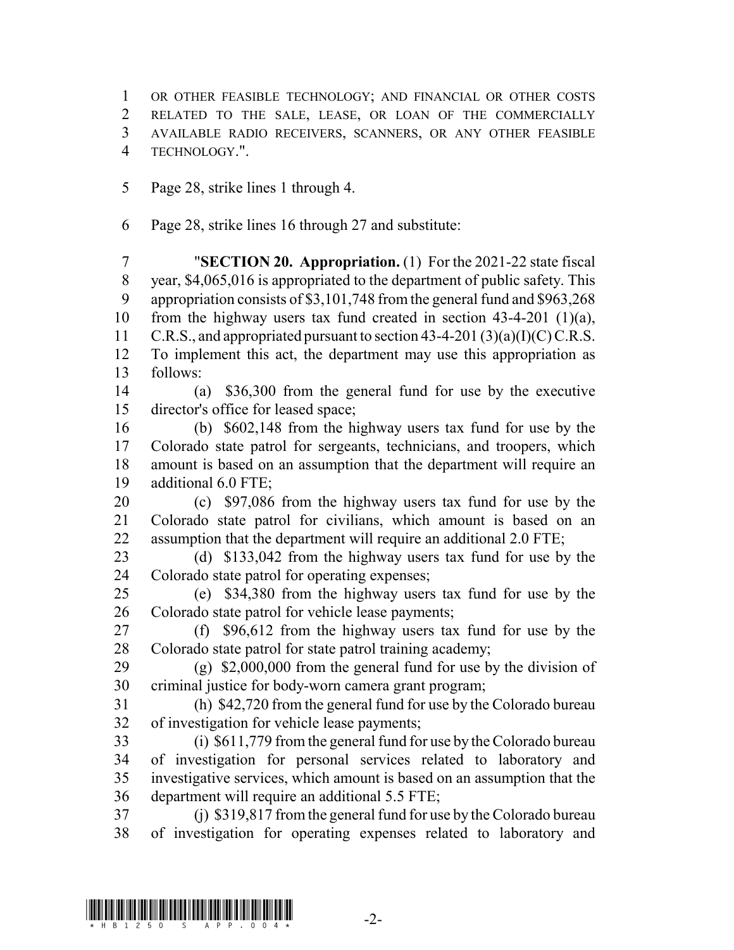OR OTHER FEASIBLE TECHNOLOGY; AND FINANCIAL OR OTHER COSTS RELATED TO THE SALE, LEASE, OR LOAN OF THE COMMERCIALLY AVAILABLE RADIO RECEIVERS, SCANNERS, OR ANY OTHER FEASIBLE TECHNOLOGY.".

Page 28, strike lines 1 through 4.

Page 28, strike lines 16 through 27 and substitute:

 "**SECTION 20. Appropriation.** (1) For the 2021-22 state fiscal year, \$4,065,016 is appropriated to the department of public safety. This appropriation consists of \$3,101,748 from the general fund and \$963,268 from the highway users tax fund created in section 43-4-201 (1)(a), 11 C.R.S., and appropriated pursuant to section  $43-4-201(3)(a)(I)(C)$  C.R.S. To implement this act, the department may use this appropriation as follows:

 (a) \$36,300 from the general fund for use by the executive director's office for leased space;

 (b) \$602,148 from the highway users tax fund for use by the Colorado state patrol for sergeants, technicians, and troopers, which amount is based on an assumption that the department will require an additional 6.0 FTE;

 (c) \$97,086 from the highway users tax fund for use by the Colorado state patrol for civilians, which amount is based on an assumption that the department will require an additional 2.0 FTE;

 (d) \$133,042 from the highway users tax fund for use by the Colorado state patrol for operating expenses;

 (e) \$34,380 from the highway users tax fund for use by the Colorado state patrol for vehicle lease payments;

 (f) \$96,612 from the highway users tax fund for use by the Colorado state patrol for state patrol training academy;

 (g) \$2,000,000 from the general fund for use by the division of criminal justice for body-worn camera grant program;

 (h) \$42,720 from the general fund for use by the Colorado bureau of investigation for vehicle lease payments;

 (i) \$611,779 from the general fund for use by the Colorado bureau of investigation for personal services related to laboratory and investigative services, which amount is based on an assumption that the department will require an additional 5.5 FTE;

 (j) \$319,817 from the general fund for use by the Colorado bureau of investigation for operating expenses related to laboratory and